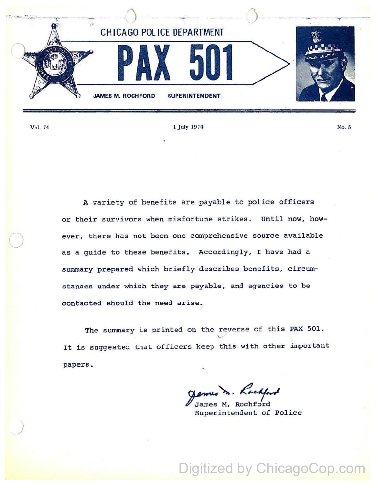

Vol. 74

1 July 1974

A variety of benefits are payable to police officers or their survivors when misfortune strikes. Until now, however, there has not been one comprehensive source available as a guide to these benefits. Accordingly, I have had a summary prepared which briefly describes benefits, circumstances under which they are payable, and agencies to be contacted should the need arise.

The summary is printed on the reverse of this PAX 501. It is suggested that officers keep this with other important papers.

James M. Rochford

Superintendent of Police

Digitized by ChicagoCop.com

No. 5